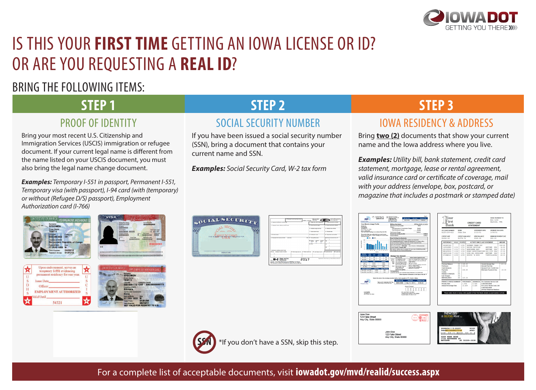

# IS THIS YOUR **FIRST TIME** GETTING AN IOWA LICENSE OR ID? OR ARE YOU REQUESTING A **REAL ID**?

## BRING THE FOLLOWING ITEMS:

## **STEP 1** PROOF OF IDENTITY

Bring your most recent U.S. Citizenship and Immigration Services (USCIS) immigration or refugee document. If your current legal name is different from the name listed on your USCIS document, you must also bring the legal name change document.

*Examples: Temporary I-551 in passport, Permanent I-551, Temporary visa (with passport), I-94 card (with (temporary) or without (Refugee D/S) passport), Employment Authorization card (I-766)*







## **STEP 2**

### SOCIAL SECURITY NUMBER

If you have been issued a social security number (SSN), bring a document that contains your current name and SSN.

*Examples: Social Security Card, W-2 tax form*

**COUAL SECUR** 

## **STEP 3**

## IOWA RESIDENCY & ADDRESS

Bring **two (2)** documents that show your current name and the Iowa address where you live.

*Examples: Utility bill, bank statement, credit card statement, mortgage, lease or rental agreement, valid insurance card or certificate of coverage, mail with your address (envelope, box, postcard, or magazine that includes a postmark or stamped date)*

| LTY |                                                           | a findum's wear south parties       | <b>CHRIS THE GEN</b> | <b>Suite annument</b><br>ENETVINA |  |
|-----|-----------------------------------------------------------|-------------------------------------|----------------------|-----------------------------------|--|
|     | A Engine vantage a grant M.                               |                                     |                      | <b>STATE OF BUILDING COMPANY</b>  |  |
|     |                                                           | 4 Ergham's some address and 20 cade |                      |                                   |  |
|     |                                                           |                                     |                      | & Afreknown system and text       |  |
|     |                                                           |                                     |                      | 7 Social security tips            |  |
|     | A Contact and day                                         |                                     |                      | <b>B. Well-Way 2004</b>           |  |
|     | . Engineer's first name and retur-                        | <b>Led Agree</b>                    |                      | Sult. 81 Noncontract plans.       |  |
|     |                                                           |                                     | <b>O</b> Story       | EF*<br><b>Statistics</b><br>æ     |  |
|     |                                                           |                                     | <b>NA Firman</b>     |                                   |  |
| www | 1. Emotional's address and 24" code                       |                                     |                      |                                   |  |
|     | <b>William</b><br><b>Senator's data Greenber</b>          | 16 Iles says to do                  | 42 Sans announces    | 18 Land street, fax art.          |  |
|     |                                                           |                                     |                      |                                   |  |
|     | W-2 Wage and Tax                                          |                                     | 2017                 | Department of                     |  |
|     | Copy B - To Be Filed With Email you's FEDERAL Tax Return. |                                     |                      |                                   |  |









**SSN** \*If you don't have a SSN, skip this step.

For a complete list of acceptable documents, visit **iowadot.gov/mvd/realid/success.aspx**